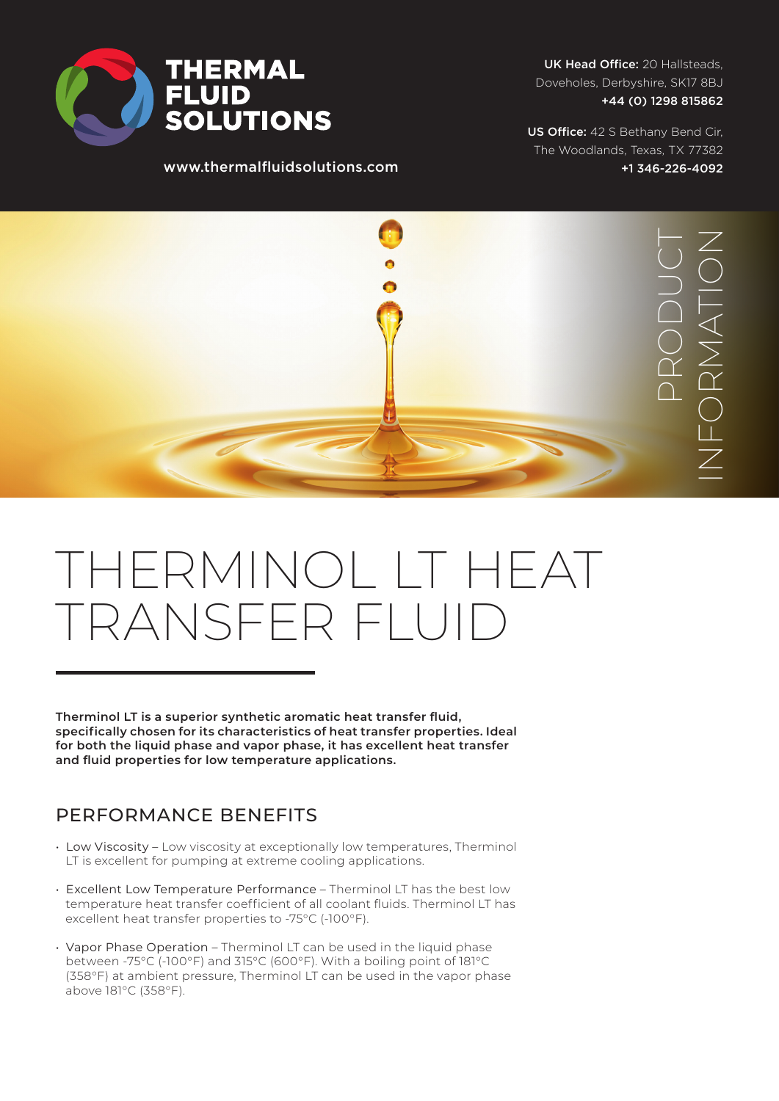

www.thermalfluidsolutions.com

UK Head Office: 20 Hallsteads, Doveholes, Derbyshire, SK17 8BJ +44 (0) 1298 815862

US Office: 42 S Bethany Bend Cir, The Woodlands, Texas, TX 77382 +1 346-226-4092



# THERMINOL LT HEAT TRANSFER FLUID

**Therminol LT is a superior synthetic aromatic heat transfer fluid, specifically chosen for its characteristics of heat transfer properties. Ideal for both the liquid phase and vapor phase, it has excellent heat transfer and fluid properties for low temperature applications.**

### PERFORMANCE BENEFITS

- Low Viscosity Low viscosity at exceptionally low temperatures, Therminol LT is excellent for pumping at extreme cooling applications.
- Excellent Low Temperature Performance Therminol LT has the best low temperature heat transfer coefficient of all coolant fluids. Therminol LT has excellent heat transfer properties to -75°C (-100°F).
- Vapor Phase Operation Therminol LT can be used in the liquid phase between -75°C (-100°F) and 315°C (600°F). With a boiling point of 181°C (358°F) at ambient pressure, Therminol LT can be used in the vapor phase above 181°C (358°F).